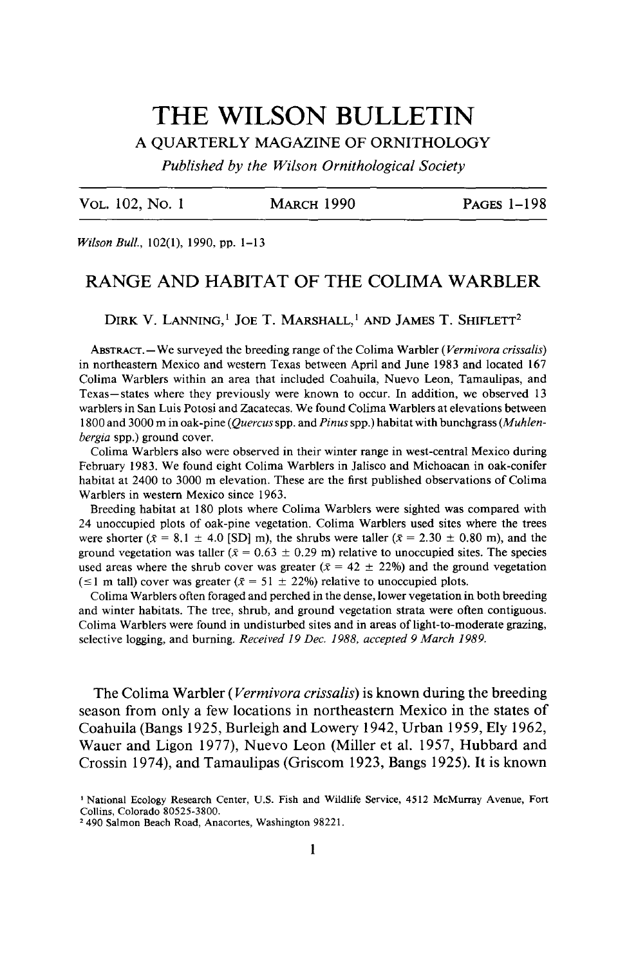# THE WILSON BULLETIN

**A QUARTERLY MAGAZINE OF ORNITHOLOGY** 

**Published by the Wilson OrnithoIogical Society** 

**VOL. 102, No. 1 MARCH 1990 PAGES l-l 98** 

**Wilson Bull., 102(l), 1990, pp. 1-13** 

# **RANGE AND HABITAT OF THE COLIMA WARBLER**

DIRK V. LANNING,<sup>1</sup> JOE T. MARSHALL,<sup>1</sup> AND JAMES T. SHIFLETT<sup>2</sup>

ABSTRACT. — We surveyed the breeding range of the Colima Warbler (Vermivora crissalis) **in northeastern Mexico and western Texas between April and June 1983 and located 167 Colima Warblers within an area that included Coahuila, Nuevo Leon, Tamaulipas, and Texas-states where they previously were known to occur. In addition, we observed 13 warblers in San Luis Potosi and Zacatecas. We found Colima Warblers at elevations between 1800 and 3000 m in oak-pine (Quercus spp. and Pinus spp.) habitat with bunchgrass (Muhlenbergia spp.) ground cover.** 

**Colima Warblers also were observed in their winter range in west-central Mexico during February 1983. We found eight Colima Warblers in Jalisco and Michoacan in oak-conifer habitat at 2400 to 3000 m elevation. These are the first published observations of Colima Warblers in western Mexico since 1963.** 

**Breeding habitat at 180 plots where Colima Warblers were sighted was compared with 24 unoccupied plots of oak-pine vegetation. Colima Warblers used sites where the trees**  were shorter ( $\bar{x}$  = 8.1  $\pm$  4.0 [SD] m), the shrubs were taller ( $\bar{x}$  = 2.30  $\pm$  0.80 m), and the ground vegetation was taller ( $\bar{x} = 0.63 \pm 0.29$  m) relative to unoccupied sites. The species used areas where the shrub cover was greater ( $\bar{x} = 42 \pm 22\%$ ) and the ground vegetation ( $\leq$ 1 m tall) cover was greater ( $\bar{x}$  = 51  $\pm$  22%) relative to unoccupied plots.

**Colima Warblers often foraged and perched in the dense, lower vegetation in both breeding and winter habitats. The tree, shrub, and ground vegetation strata were often contiguous. Colima Warblers were found in undisturbed sites and in areas of light-to-moderate grazing, selective logging, and burning. Received 19 Dec. 1988, accepted 9 March 1989.** 

**The Colima Warbler (Vermivora crissalis) is known during the breeding season from only a few locations in northeastern Mexico in the states of Coahuila (Bangs 1925, Burleigh and Lowery 1942, Urban 1959, Ely 1962, Wauer and Ligon 1977) Nuevo Leon (Miller et al. 1957, Hubbard and Crossin 1974), and Tamaulipas (Griscom 1923, Bangs 1925). It is known** 

**I National Ecology Research Center, U.S. Fish and Wildlife Service, 4512 McMurray Avenue, Fort Collins, Colorado 80525-3800.** 

**<sup>2 490</sup> Salmon Beach Road, Anacortes, Washington 98221.**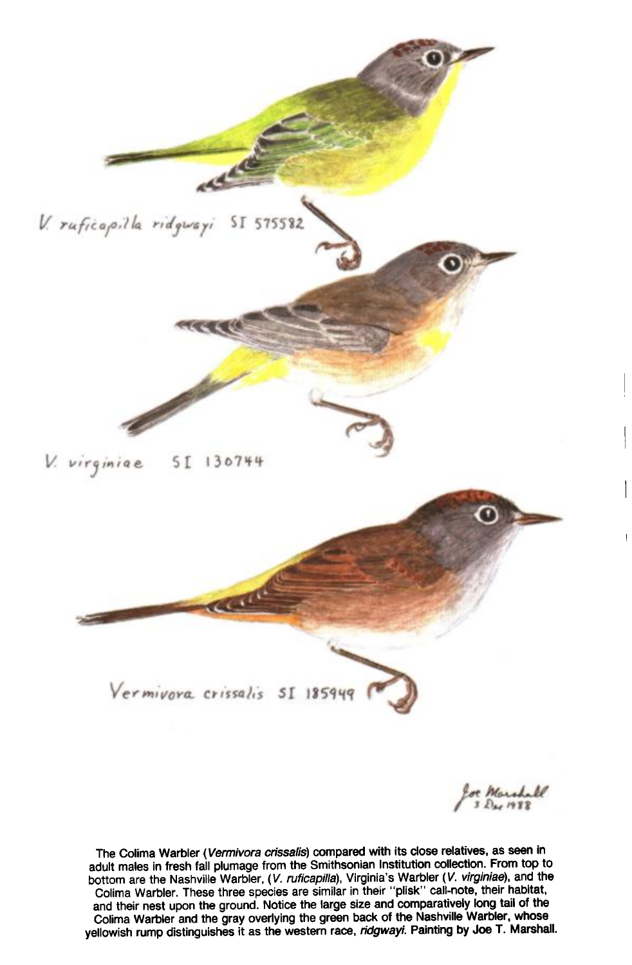

or Marshall

The Colima Warbler (Vermivora crissalis) compared with its close relatives, as seen in **adult males in fresh fall plumage from the Smithsonian Institution collection. From top to**  bottom are the Nashville Warbler, (V. *ruficapilla*), Virginia's Warbler (V. *virginiae*), and the Colima Warbler. These three species are similar in their "plisk" call-note, their habitat, **and their nest upon the ground. Notice the large size and comparatively long tail of the Colima Warbler and the gray overlying the green back of the Nashville Warbler, whose yellowish rump distinguishes it as the western race, ridgwayi. Painting by Joe T. Marshall.**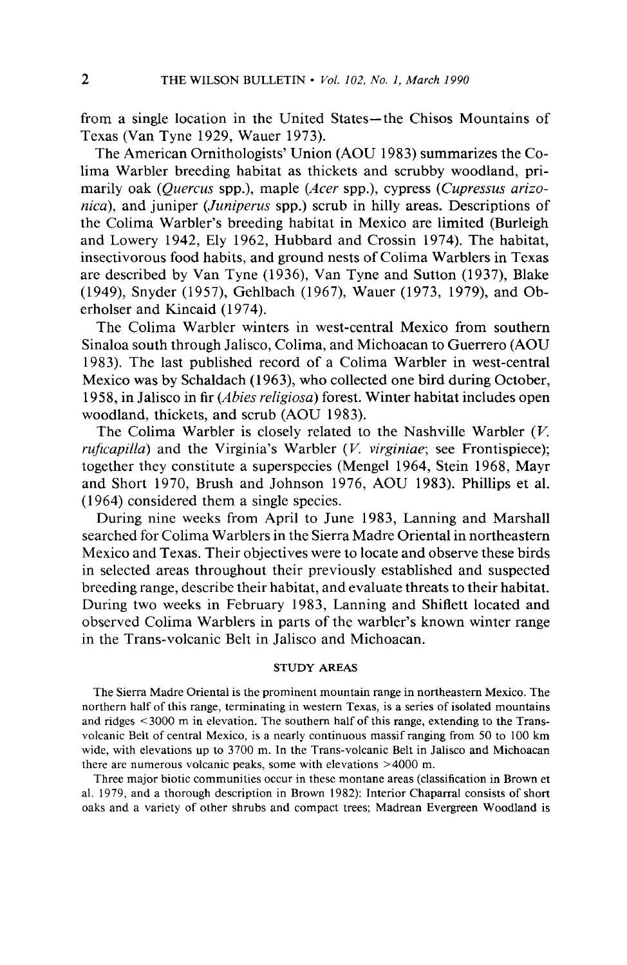**from a single location in the United States-the Chisos Mountains of Texas (Van Tyne 1929, Wauer 1973).** 

**The American Ornithologists' Union (AOU 1983) summarizes the Colima Warbler breeding habitat as thickets and scrubby woodland, primarily oak (Quercus spp.), maple (Acer spp.), cypress (Cupressus arizonica), and juniper (Juniperus spp.) scrub in hilly areas. Descriptions of**  the Colima Warbler's breeding habitat in Mexico are limited (Burleigh **and Lowery 1942, Ely 1962, Hubbard and Crossin 1974). The habitat, insectivorous food habits, and ground nests of Colima Warblers in Texas are described by Van Tyne (1936) Van Tyne and Sutton (1937) Blake (1949) Snyder (1957), Gehlbach (1967), Wauer (1973, 1979), and Oberholser and Kincaid (1974).** 

**The Colima Warbler winters in west-central Mexico from southern Sinaloa south through Jalisco, Colima, and Michoacan to Guerrero (AOU 1983). The last published record of a Colima Warbler in west-central Mexico was by Schaldach (1963), who collected one bird during October, 1958, in Jalisco in fir (Abies religiosa) forest. Winter habitat includes open woodland, thickets, and scrub (AOU 1983).** 

**The Colima Warbler is closely related to the Nashville Warbler (V.**  *ruficapilla*) and the Virginia's Warbler *(V. virginiae*; see Frontispiece); **together they constitute a superspecies (Mengel 1964, Stein 1968, Mayr and Short 1970, Brush and Johnson 1976, AOU 1983). Phillips et al. (1964) considered them a single species.** 

**During nine weeks from April to June 1983, Lanning and Marshall searched for Colima Warblers in the Sierra Madre Oriental in northeastern Mexico and Texas. Their objectives were to locate and observe these birds in selected areas throughout their previously established and suspected breeding range, describe their habitat, and evaluate threats to their habitat. During two weeks in February 1983, Lanning and Shiflett located and observed Colima Warblers in parts of the warbler's known winter range in the Trans-volcanic Belt in Jalisco and Michoacan.** 

### **STUDY AREAS**

**The Sierra Madre Oriental is the prominent mountain range in northeastern Mexico. The northern half of this range, terminating in western Texas, is a series of isolated mountains and ridges < 3000 m in elevation. The southern half of this range, extending to the Transvolcanic Belt of central Mexico, is a nearly continuous massif ranging from 50 to 100 km wide, with elevations up to 3700 m. In the Trans-volcanic Belt in Jalisco and Michoacan there are numerous volcanic peaks, some with elevations >4000 m.** 

**Three major biotic communities occur in these montane areas (classification in Brown et al. 1979, and a thorough description in Brown 1982): Interior Chaparral consists of short oaks and a variety of other shrubs and compact trees; Madrean Evergreen Woodland is**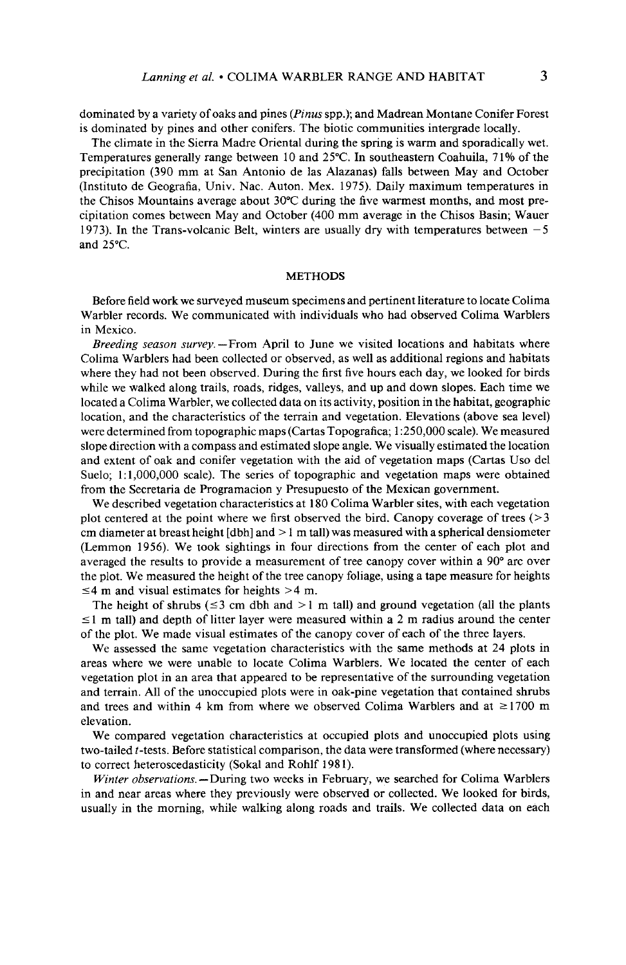**dominated by a variety of oaks and pines (Pinus spp.); and Madrean Montane Conifer Forest is dominated by pines and other conifers. The biotic communities intergrade locally.** 

**The climate in the Sierra Madre Oriental during the spring is warm and sporadically wet. Temperatures generally range between 10 and 25°C. In southeastern Coahuila, 7 1% of the precipitation (390 mm at San Antonio de las Alazanas) falls between May and October (Instituto de Geografia, Univ. Nat. Auton. Mex. 1975). Daily maximum temperatures in the Chisos Mountains average about 30°C during the five warmest months, and most precipitation comes between May and October (400 mm average in the Chisos Basin; Wauer 1973). In the Trans-volcanic Belt, winters are usually dry with temperatures between -5 and 25°C.** 

#### **METHODS**

**Before field work we surveyed museum specimens and pertinent literature to locate Colima Warbler records. We communicated with individuals who had observed Colima Warblers in Mexico.** 

**Breeding season survey.-From April to June we visited locations and habitats where Colima Warblers had been collected or observed, as well as additional regions and habitats where they had not been observed. During the first five hours each day, we looked for birds while we walked along trails, roads, ridges, valleys, and up and down slopes. Each time we located a Colima Warbler, we collected data on its activity, position in the habitat, geographic location, and the characteristics of the terrain and vegetation. Elevations (above sea level) were determined from topographic maps (Cartas Topografica; 1:250,000 scale). We measured slope direction with a compass and estimated slope angle. We visually estimated the location and extent of oak and conifer vegetation with the aid of vegetation maps (Cartas Uso de1 Suelo; l:l,OOO,OOO scale). The series of topographic and vegetation maps were obtained from the Secretaria de Programacion y Presupuesto of the Mexican government.** 

**We described vegetation characteristics at 180 Colima Warbler sites, with each vegetation plot centered at the point where we first observed the bird. Canopy coverage of trees (>3 cm diameter at breast height [dbh] and > 1 m tall) was measured with a spherical densiometer (Lemmon 1956). We took sightings in four directions from the center of each plot and averaged the results to provide a measurement of tree canopy cover within a 90" arc over the plot. We measured the height of the tree canopy foliage, using a tape measure for heights**   $\leq$  4 m and visual estimates for heights  $>$  4 m.

The height of shrubs ( $\leq 3$  cm dbh and  $>1$  m tall) and ground vegetation (all the plants  $\leq$  1 m tall) and depth of litter layer were measured within a 2 m radius around the center **of the plot. We made visual estimates of the canopy cover of each of the three layers.** 

**We assessed the same vegetation characteristics with the same methods at 24 plots in areas where we were unable to locate Colima Warblers. We located the center of each vegetation plot in an area that appeared to be representative of the surrounding vegetation and terrain. All of the unoccupied plots were in oak-pine vegetation that contained shrubs**  and trees and within 4 km from where we observed Colima Warblers and at  $\geq$  1700 m **elevation.** 

**We compared vegetation characteristics at occupied plots and unoccupied plots using two-tailed t-tests. Before statistical comparison, the data were transformed (where necessary)**  to correct heteroscedasticity (Sokal and Rohlf 1981).

**Winter observations. -During two weeks in February, we searched for Colima Warblers in and near areas where they previously were observed or collected. We looked for birds, usually in the morning, while walking along roads and trails. We collected data on each**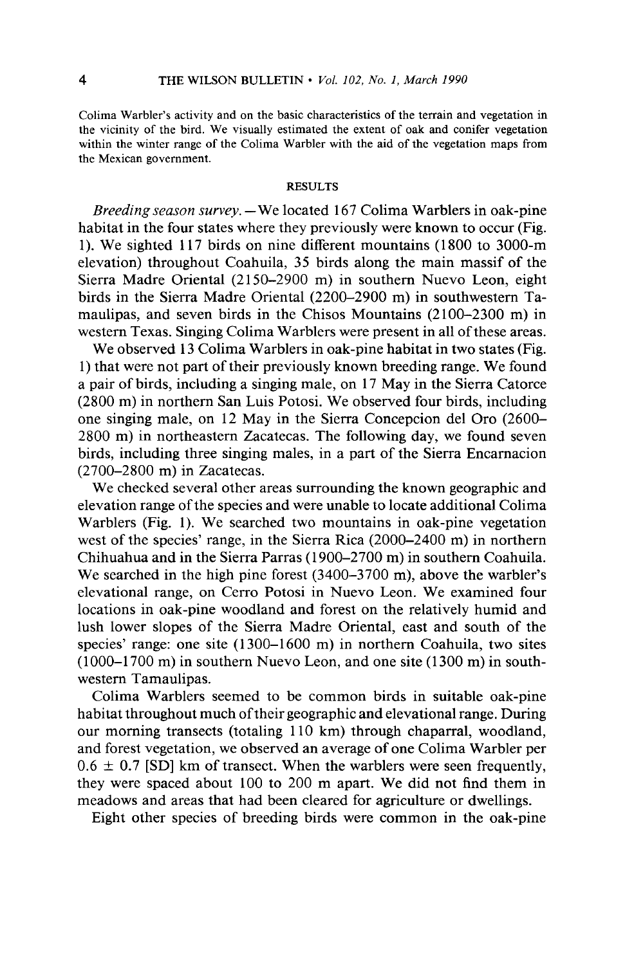**Colima Warbler's activity and on the basic characteristics of the terrain and vegetation in the vicinity of the bird. We visually estimated the extent of oak and conifer vegetation within the winter range of the Colima Warbler with the aid of the vegetation maps from the Mexican government.** 

#### **RESULTS**

**Breeding season survey. -We located 167 Colima Warblers in oak-pine habitat in the four states where they previously were known to occur (Fig. 1). We sighted 117 birds on nine different mountains (1800 to 3000-m elevation) throughout Coahuila, 35 birds along the main massif of the Sierra Madre Oriental (2150-2900 m) in southern Nuevo Leon, eight birds in the Sierra Madre Oriental (2200-2900 m) in southwestern Tamaulipas, and seven birds in the Chisos Mountains (2100-2300 m) in western Texas. Singing Colima Warblers were present in all of these areas.** 

**We observed 13 Colima Warblers in oak-pine habitat in two states (Fig. 1) that were not part of their previously known breeding range. We found a pair of birds, including a singing male, on 17 May in the Sierra Catorce (2800 m) in northern San Luis Potosi. We observed four birds, including**  one singing male, on 12 May in the Sierra Concepcion del Oro (2600– **2800 m) in northeastern Zacatecas. The following day, we found seven birds, including three singing males, in a part of the Sierra Encamacion (2700-2800 m) in Zacatecas.** 

**We checked several other areas surrounding the known geographic and elevation range of the species and were unable to locate additional Colima Warblers (Fig. 1). We searched two mountains in oak-pine vegetation west of the species' range, in the Sierra Rica (2000-2400 m) in northern Chihuahua and in the Sierra Parras (1900-2700 m) in southern Coahuila.**  We searched in the high pine forest (3400–3700 m), above the warbler's **elevational range, on Cerro Potosi in Nuevo Leon. We examined four locations in oak-pine woodland and forest on the relatively humid and lush lower slopes of the Sierra Madre Oriental, east and south of the species' range: one site (1300-1600 m) in northern Coahuila, two sites (1000-l 700 m) in southern Nuevo Leon, and one site (1300 m) in southwestern Tamaulipas.** 

**Colima Warblers seemed to be common birds in suitable oak-pine habitat throughout much of their geographic and elevational range. During our morning transects (totaling 110 km) through chaparral, woodland, and forest vegetation, we observed an average of one Colima Warbler per**   $0.6 \pm 0.7$  [SD] km of transect. When the warblers were seen frequently, **they were spaced about 100 to 200 m apart. We did not find them in meadows and areas that had been cleared for agriculture or dwellings.** 

**Eight other species of breeding birds were common in the oak-pine**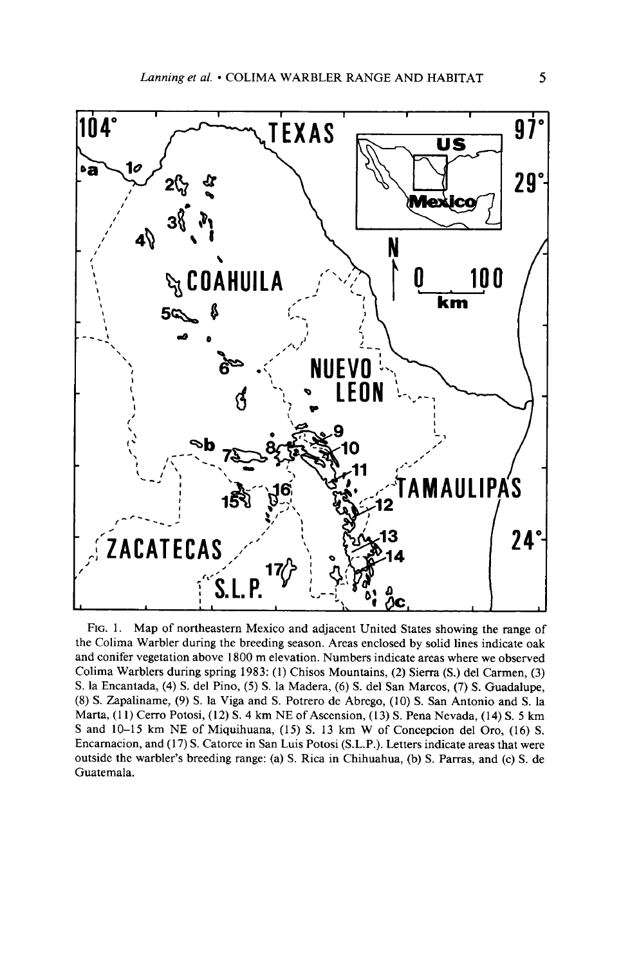

**FIG. 1. Map of northeastern Mexico and adjacent United States showing the range of the Colima Warbler during the breeding season. Areas enclosed by solid lines indicate oak and conifer vegetation above 1800 m elevation. Numbers indicate areas where we observed Colima Warblers during spring 1983: (1) Chisos Mountains, (2) Sierra (S.) de1 Carmen, (3) S. la Encantada, (4) S. de1 Pino, (5) S. la Madera, (6) S. de1 San Marcos, (7) S. Guadalupe, (8) S. Zapaliname, (9) S. la Viga and S. Potrero de Abrego, (10) S. San Antonio and S. la Marta, (11) Cerro Potosi, (12) S. 4 km NE of Ascension, (13) S. Pena Nevada, (14) S. 5 km**  S and 10-15 km NE of Miquihuana, (15) S. 13 km W of Concepcion del Oro, (16) S. **Encamacion, and (17) S. Catorce in San Luis Potosi (S.L.P.). Letters indicate areas that were outside the warblers ' breeding range: (a) S. Rica in Chihuahua, (b) S. Parras, and (c) S. de Guatemala.**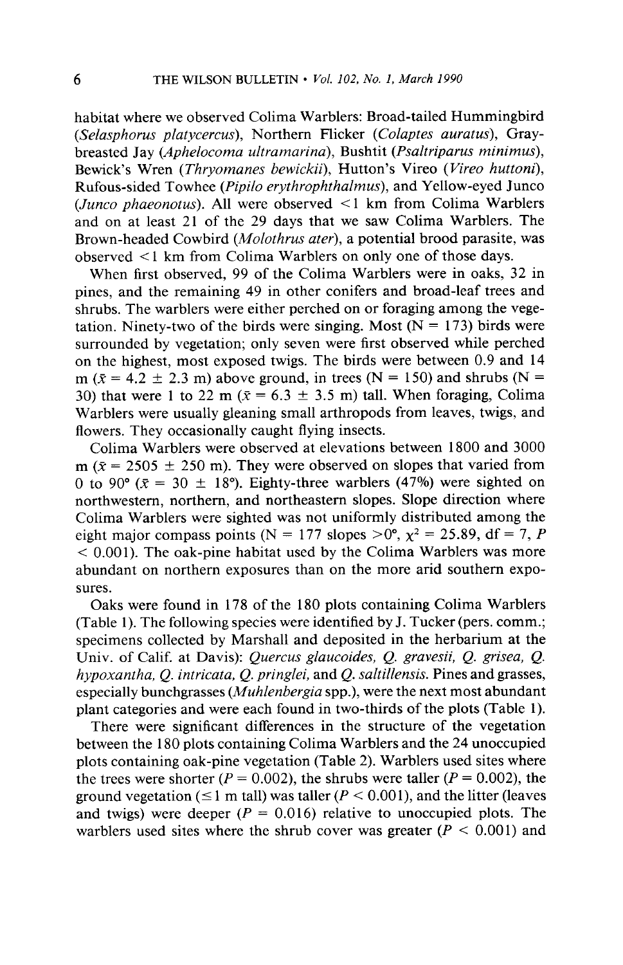**habitat where we observed Colima Warblers: Broad-tailed Hummingbird (Selusphorus plutycercus), Northern Flicker (Colaptes auratus), Graybreasted Jay (Aphelocoma ultramarina), Bushtit (Psaltriparus minimus),**  Bewick's Wren (Thryomanes bewickii), Hutton's Vireo (Vireo huttoni), **Rufous-sided Towhee (Pipilo erythrophthalmus), and Yellow-eyed Junco (Junco phaeonotus). All were observed < 1 km from Colima Warblers and on at least 21 of the 29 days that we saw Colima Warblers. The Brown-headed Cowbird (Molothrus ater), a potential brood parasite, was observed < 1 km from Colima Warblers on only one of those days.** 

**When first observed, 99 of the Colima Warblers were in oaks, 32 in pines, and the remaining 49 in other conifers and broad-leaf trees and shrubs. The warblers were either perched on or foraging among the vege**tation. Ninety-two of the birds were singing. Most  $(N = 173)$  birds were **surrounded by vegetation; only seven were first observed while perched on the highest, most exposed twigs. The birds were between 0.9 and 14**   $m$  ( $\bar{x}$  = 4.2  $\pm$  2.3 m) above ground, in trees (N = 150) and shrubs (N = 30) that were 1 to 22 m ( $\bar{x} = 6.3 \pm 3.5$  m) tall. When foraging, Colima **Warblers were usually gleaning small arthropods from leaves, twigs, and flowers. They occasionally caught flying insects.** 

**Colima Warblers were observed at elevations between 1800 and 3000**   $m$  ( $\bar{x}$  = 2505  $\pm$  250 m). They were observed on slopes that varied from 0 to 90° ( $\bar{x}$  = 30  $\pm$  18°). Eighty-three warblers (47%) were sighted on **northwestern, northern, and northeastern slopes. Slope direction where Colima Warblers were sighted was not uniformly distributed among the**  eight major compass points (N = 177 slopes  $> 0^{\circ}$ ,  $\chi^2 = 25.89$ , df = 7, *P* **< 0.001). The oak-pine habitat used by the Colima Warblers was more abundant on northern exposures than on the more arid southern exposures.** 

**Oaks were found in 178 of the 180 plots containing Colima Warblers (Table 1). The following species were identified by J. Tucker (pers. comm.; specimens collected by Marshall and deposited in the herbarium at the**  Univ. of Calif. at Davis): *Quercus glaucoides, Q. gravesii, Q. grisea, Q.* **hypoxantha, Q. intricata, Q. pringlei, and Q. saltillensis. Pines and grasses, especially bunchgrasses (Muhlenbergia spp.), were the next most abundant plant categories and were each found in two-thirds of the plots (Table 1).** 

**There were significant differences in the structure of the vegetation between the 180 plots containing Colima Warblers and the 24 unoccupied plots containing oak-pine vegetation (Table 2). Warblers used sites where**  the trees were shorter ( $P = 0.002$ ), the shrubs were taller ( $P = 0.002$ ), the ground vegetation ( $\leq$ 1 m tall) was taller ( $P < 0.001$ ), and the litter (leaves and twigs) were deeper  $(P = 0.016)$  relative to unoccupied plots. The warblers used sites where the shrub cover was greater  $(P < 0.001)$  and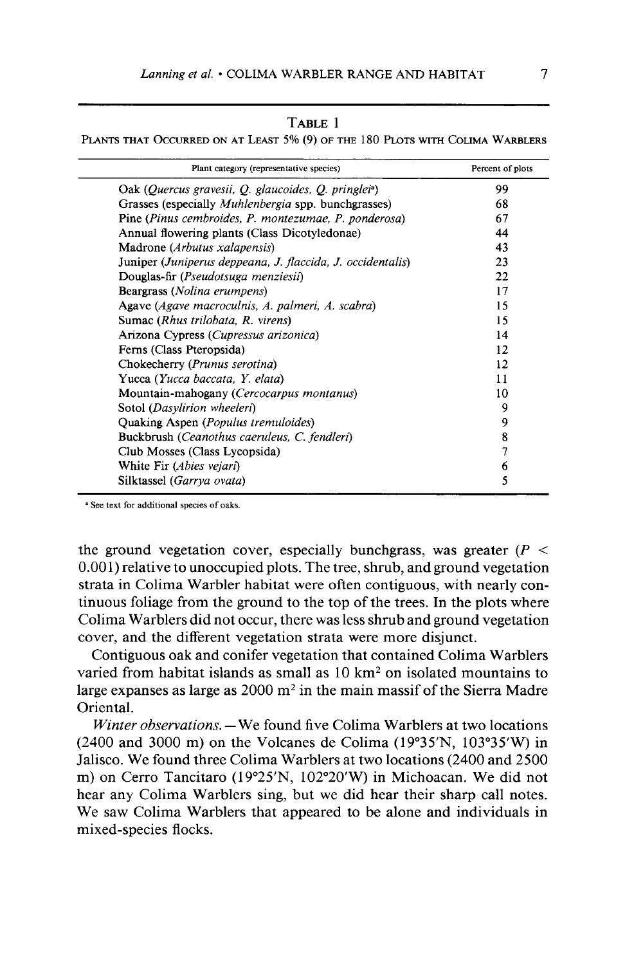**PLANTS THAT OCCURRED ON AT LEAST 5% (9) OF THE 180 PLOTS WITH COLIMA WARBLERS** 

| Plant category (representative species)                          | Percent of plots |
|------------------------------------------------------------------|------------------|
| Oak (Ouercus gravesii, O. glaucoides, O. pringlei <sup>a</sup> ) | 99               |
| Grasses (especially <i>Muhlenbergia</i> spp. bunchgrasses)       | 68               |
| Pine (Pinus cembroides, P. montezumae, P. ponderosa)             | 67               |
| Annual flowering plants (Class Dicotyledonae)                    | 44               |
| Madrone (Arbutus xalapensis)                                     | 43               |
| Juniper (Juniperus deppeana, J. flaccida, J. occidentalis)       | 23               |
| Douglas-fir (Pseudotsuga menziesii)                              | 22               |
| Beargrass (Nolina erumpens)                                      | 17               |
| Agave (Agave macroculnis, A. palmeri, A. scabra)                 | 15               |
| Sumac (Rhus trilobata, R. virens)                                | 15               |
| Arizona Cypress (Cupressus arizonica)                            | 14               |
| Ferns (Class Pteropsida)                                         | 12               |
| Chokecherry (Prunus serotina)                                    | 12               |
| Yucca (Yucca baccata, Y. elata)                                  | 11               |
| Mountain-mahogany (Cercocarpus montanus)                         | 10               |
| Sotol (Dasylirion wheeleri)                                      | 9                |
| Quaking Aspen (Populus tremuloides)                              | 9                |
| Buckbrush (Ceanothus caeruleus, C. fendleri)                     | 8                |
| Club Mosses (Class Lycopsida)                                    | 7                |
| White Fir ( <i>Abies vejari</i> )                                | 6                |
| Silktassel (Garrya ovata)                                        | 5                |

 $\cdot$  See text for additional species of oaks.

the ground vegetation cover, especially bunchgrass, was greater  $(P \leq$ **0.00 1) relative to unoccupied plots. The tree, shrub, and ground vegetation strata in Colima Warbler habitat were often contiguous, with nearly continuous foliage from the ground to the top of the trees. In the plots where Colima Warblers did not occur, there was less shrub and ground vegetation cover, and the different vegetation strata were more disjunct.** 

**Contiguous oak and conifer vegetation that contained Colima Warblers varied from habitat islands as small as 10 km\* on isolated mountains to**  large expanses as large as 2000 m<sup>2</sup> in the main massif of the Sierra Madre **Oriental.** 

**Winter observations. -We found five Colima Warblers at two locations (2400 and 3000 m) on the Volcanes de Colima (19"35N, ' 103"35W) ' in Jalisco. We found three Colima Warblers at two locations (2400 and 2500**  m) on Cerro Tancitaro (19°25'N, 102°20'W) in Michoacan. We did not **hear any Colima Warblers sing, but we did hear their sharp call notes. We saw Colima Warblers that appeared to be alone and individuals in mixed-species flocks.**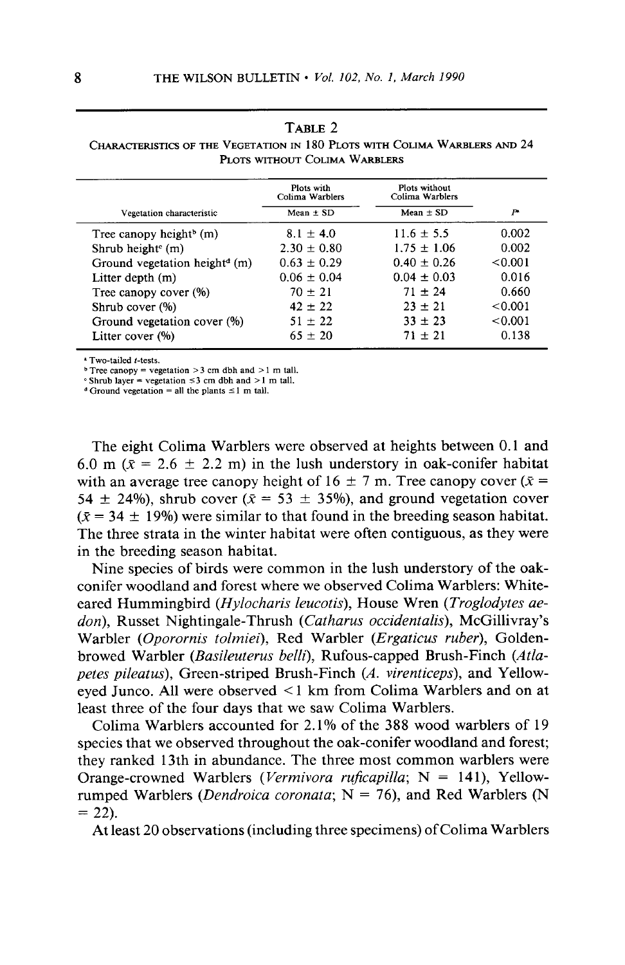| TABLE 2                                                                    |  |  |  |  |
|----------------------------------------------------------------------------|--|--|--|--|
| CHARACTERISTICS OF THE VEGETATION IN 180 PLOTS WITH COLIMA WARBLERS AND 24 |  |  |  |  |
| PLOTS WITHOUT COLIMA WARBLERS                                              |  |  |  |  |

|                                           | Plots with<br>Colima Warblers | Plots without<br>Colima Warblers |         |
|-------------------------------------------|-------------------------------|----------------------------------|---------|
| Vegetation characteristic                 | Mean $\pm$ SD                 | Mean $\pm$ SD                    | P       |
| Tree canopy height <sup>b</sup> (m)       | $8.1 \pm 4.0$                 | $11.6 \pm 5.5$                   | 0.002   |
| Shrub height $\epsilon$ (m)               | $2.30 \pm 0.80$               | $1.75 \pm 1.06$                  | 0.002   |
| Ground vegetation height <sup>4</sup> (m) | $0.63 \pm 0.29$               | $0.40 \pm 0.26$                  | < 0.001 |
| Litter depth (m)                          | $0.06 + 0.04$                 | $0.04 \pm 0.03$                  | 0.016   |
| Tree canopy cover (%)                     | $70 + 21$                     | $71 \pm 24$                      | 0.660   |
| Shrub cover $(\%)$                        | $42 + 22$                     | $23 + 21$                        | < 0.001 |
| Ground vegetation cover (%)               | $51 + 22$                     | $33 + 23$                        | < 0.001 |
| Litter cover $(\%)$                       | $65 \pm 20$                   | $71 + 21$                        | 0.138   |

**a Two-tailed t-tests.** 

**b Tree canopy = vegetation >3 cm dbh and > 1 m tall.** 

 $\textdegree$  Shrub layer = vegetation  $\leq$ 3 cm dbh and > 1 m tall.

**d** Ground vegetation = all the plants  $\leq 1$  m tall.

**The eight Colima Warblers were observed at heights between 0.1 and**  6.0 m ( $\bar{x}$  = 2.6  $\pm$  2.2 m) in the lush understory in oak-conifer habitat with an average tree canopy height of  $16 \pm 7$  m. Tree canopy cover ( $\bar{x}$  = 54  $\pm$  24%), shrub cover ( $\bar{x}$  = 53  $\pm$  35%), and ground vegetation cover  $(\bar{x} = 34 \pm 19\%)$  were similar to that found in the breeding season habitat. **The three strata in the winter habitat were often contiguous, as they were in the breeding season habitat.** 

**Nine species of birds were common in the lush understory of the oakconifer woodland and forest where we observed Colima Warblers: Whiteeared Hummingbird (Hylocharis leucotis), House Wren (Troglodytes aedon), Russet Nightingale-Thrush (Cutharus occidentalis), McGillivrays ' Warbler (Oporornis tolmiei), Red Warbler (Ergaticus ruber), Goldenbrowed Warbler (Basileuterus belli), Rufous-capped Brush-Finch (Atlupetes pileatus), Green-striped Brush-Finch (A. virenticeps), and Yelloweyed Junco. All were observed < 1 km from Colima Warblers and on at least three of the four days that we saw Colima Warblers.** 

**Colima Warblers accounted for 2.1% of the 388 wood warblers of 19 species that we observed throughout the oak-conifer woodland and forest; they ranked 13th in abundance. The three most common warblers were Orange-crowned Warblers (Vermivora rujicapilla; N = 141), Yellow**rumped Warblers *(Dendroica coronata*;  $N = 76$ ), and Red Warblers *(N*  $= 22$ ).

**At least 20 observations (including three specimens) of Colima Warblers**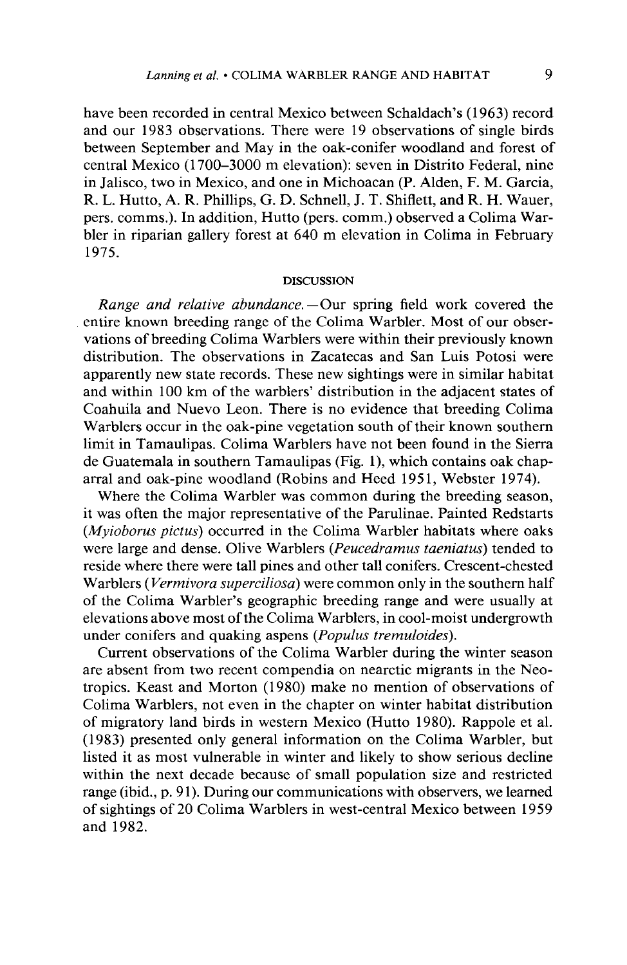have been recorded in central Mexico between Schaldach's (1963) record **and our 1983 observations. There were 19 observations of single birds between September and May in the oak-conifer woodland and forest of central Mexico (1700-3000 m elevation): seven in Distrito Federal, nine in Jalisco, two in Mexico, and one in Michoacan (P. Alden, F. M. Garcia, R. L. Hutto, A. R. Phillips, G. D. Schnell, J. T. Shiflett, and R. H. Wauer, pers. comms.). In addition, Hutto (pers. comm.) observed a Colima Warbler in riparian gallery forest at 640 m elevation in Colima in February 1975.** 

#### **DISCUSSION**

**Range and relative abundance.-Our spring field work covered the entire known breeding range of the Colima Warbler. Most of our observations of breeding Colima Warblers were within their previously known distribution. The observations in Zacatecas and San Luis Potosi were apparently new state records. These new sightings were in similar habitat and within 100 km of the warblers' distribution in the adjacent states of Coahuila and Nuevo Leon. There is no evidence that breeding Colima Warblers occur in the oak-pine vegetation south of their known southern limit in Tamaulipas. Colima Warblers have not been found in the Sierra de Guatemala in southern Tamaulipas (Fig. l), which contains oak chap**arral and oak-pine woodland (Robins and Heed 1951, Webster 1974).

**Where the Colima Warbler was common during the breeding season, it was often the major representative of the Parulinae. Painted Redstarts (Myioborus pictus) occurred in the Colima Warbler habitats where oaks were large and dense. Olive Warblers (Peucedramus taeniatus) tended to reside where there were tall pines and other tall conifers. Crescent-chested Warblers (Vermivora superciliosa) were common only in the southern half**  of the Colima Warbler's geographic breeding range and were usually at **elevations above most of the Colima Warblers, in cool-moist undergrowth under conifers and quaking aspens (Populus tremuloides).** 

**Current observations of the Colima Warbler during the winter season are absent from two recent compendia on nearctic migrants in the Neotropics. Keast and Morton (1980) make no mention of observations of Colima Warblers, not even in the chapter on winter habitat distribution of migratory land birds in western Mexico (Hutto 1980). Rappole et al. (1983) presented only general information on the Colima Warbler, but listed it as most vulnerable in winter and likely to show serious decline within the next decade because of small population size and restricted range (ibid., p. 9 1). During our communications with observers, we learned of sightings of 20 Colima Warblers in west-central Mexico between 1959 and 1982.**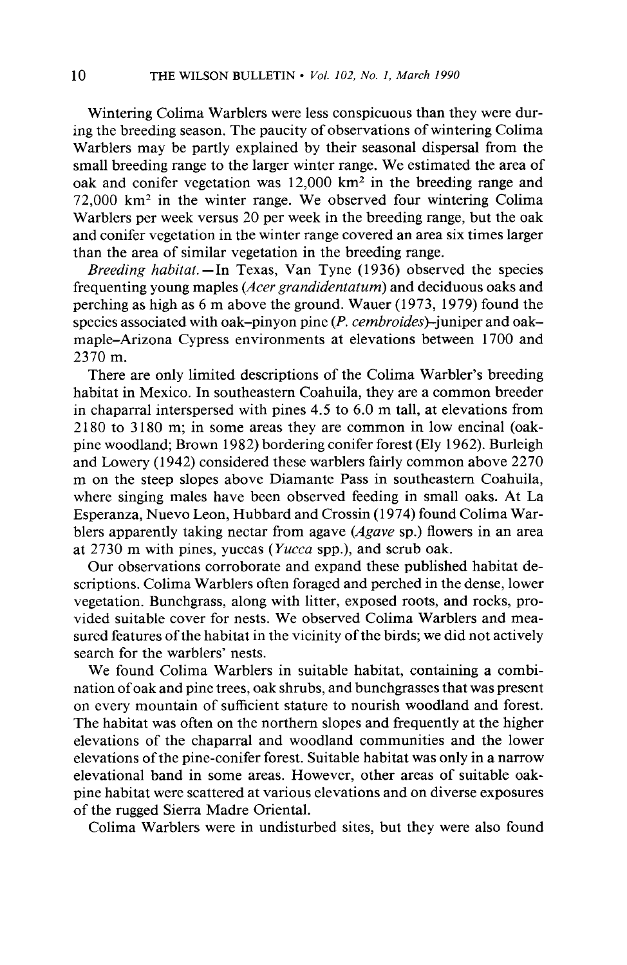**Wintering Colima Warblers were less conspicuous than they were during the breeding season. The paucity of observations of wintering Colima Warblers may be partly explained by their seasonal dispersal from the small breeding range to the larger winter range. We estimated the area of oak and conifer vegetation was 12,000 km2 in the breeding range and 72,000 km2 in the winter range. We observed four wintering Colima Warblers per week versus 20 per week in the breeding range, but the oak and conifer vegetation in the winter range covered an area six times larger than the area of similar vegetation in the breeding range.** 

**Breeding habitat. -In Texas, Van Tyne (1936) observed the species frequenting young maples (Acer grandidentatum) and deciduous oaks and perching as high as 6 m above the ground. Wauer (1973, 1979) found the species associated with oak-pinyon pine (P. cembroides)-juniper and oakmaple-Arizona Cypress environments at elevations between 1700 and 2370 m.** 

There are only limited descriptions of the Colima Warbler's breeding **habitat in Mexico. In southeastern Coahuila, they are a common breeder in chaparral interspersed with pines 4.5 to 6.0 m tall, at elevations from 2180 to 3 180 m; in some areas they are common in low encinal (oakpine woodland; Brown 1982) bordering conifer forest (Ely 1962). Burleigh and Lowery (1942) considered these warblers fairly common above 2270 m on the steep slopes above Diamante Pass in southeastern Coahuila, where singing males have been observed feeding in small oaks. At La Esperanza, Nuevo Leon, Hubbard and Crossin (1974) found Colima Warblers apparently taking nectar from agave (Aguve sp.) flowers in an area at 2730 m with pines, yuccas (Yucca spp.), and scrub oak.** 

**Our observations corroborate and expand these published habitat descriptions. Colima Warblers often foraged and perched in the dense, lower vegetation. Bunchgrass, along with litter, exposed roots, and rocks, provided suitable cover for nests. We observed Colima Warblers and measured features of the habitat in the vicinity of the birds; we did not actively search for the warblers' nests.** 

**We found Colima Warblers in suitable habitat, containing a combination of oak and pine trees, oak shrubs, and bunchgrasses that was present on every mountain of sufficient stature to nourish woodland and forest. The habitat was often on the northern slopes and frequently at the higher elevations of the chaparral and woodland communities and the lower elevations of the pine-conifer forest. Suitable habitat was only in a narrow elevational band in some areas. However, other areas of suitable oakpine habitat were scattered at various elevations and on diverse exposures of the rugged Sierra Madre Oriental.** 

**Colima Warblers were in undisturbed sites, but they were also found**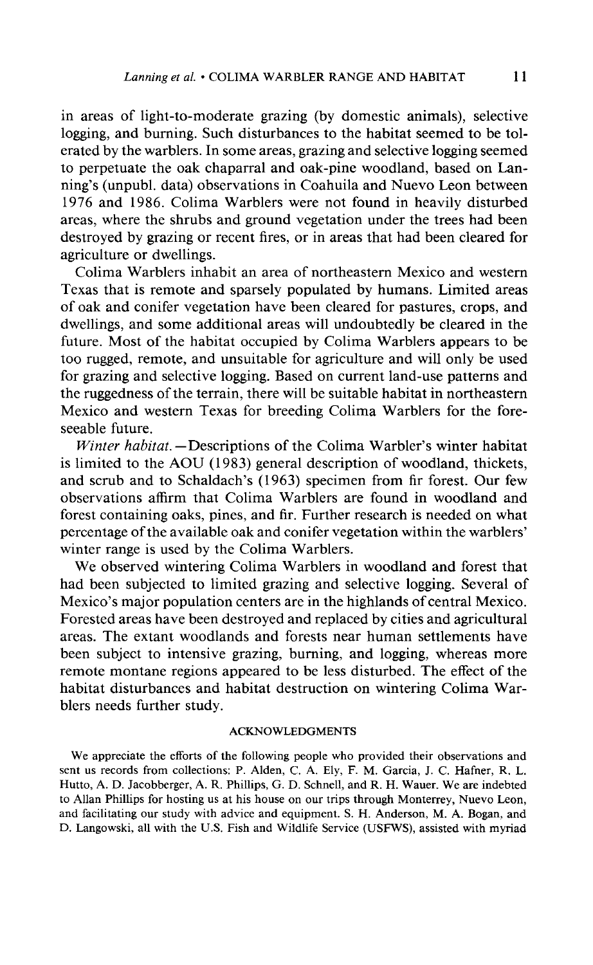**in areas of light-to-moderate grazing (by domestic animals), selective logging, and burning. Such disturbances to the habitat seemed to be tolerated by the warblers. In some areas, grazing and selective logging seemed to perpetuate the oak chaparral and oak-pine woodland, based on Lannings ' (unpubl. data) observations in Coahuila and Nuevo Leon between 1976 and 1986. Colima Warblers were not found in heavily disturbed areas, where the shrubs and ground vegetation under the trees had been destroyed by grazing or recent fires, or in areas that had been cleared for agriculture or dwellings.** 

**Colima Warblers inhabit an area of northeastern Mexico and western Texas that is remote and sparsely populated by humans. Limited areas of oak and conifer vegetation have been cleared for pastures, crops, and dwellings, and some additional areas will undoubtedly be cleared in the future. Most of the habitat occupied by Colima Warblers appears to be too rugged, remote, and unsuitable for agriculture and will only be used for grazing and selective logging. Based on current land-use patterns and the ruggedness of the terrain, there will be suitable habitat in northeastern Mexico and western Texas for breeding Colima Warblers for the foreseeable future.** 

*Winter habitat.* **– Descriptions of the Colima Warbler's winter habitat is limited to the AOU (1983) general description of woodland, thickets,**  and scrub and to Schaldach's (1963) specimen from fir forest. Our few **observations affirm that Colima Warblers are found in woodland and forest containing oaks, pines, and fir. Further research is needed on what percentage of the available oak and conifer vegetation within the warblers' winter range is used by the Colima Warblers.** 

**We observed wintering Colima Warblers in woodland and forest that had been subjected to limited grazing and selective logging. Several of**  Mexico's major population centers are in the highlands of central Mexico. **Forested areas have been destroyed and replaced by cities and agricultural areas. The extant woodlands and forests near human settlements have been subject to intensive grazing, burning, and logging, whereas more remote montane regions appeared to be less disturbed. The effect of the habitat disturbances and habitat destruction on wintering Colima Warblers needs further study.** 

#### **ACKNOWLEDGMENTS**

**We appreciate the efforts of the following people who provided their observations and sent us records from collections: P. Alden, C. A. Ely, F. M. Garcia, J. C. Hafner, R. L. Hutto, A. D. Jacobberger, A. R. Phillips, G. D. Schnell, and R. H. Wauer. We are indebted to Allan Phillips for hosting us at his house on our trips through Monterrey, Nuevo Leon, and facilitating our study with advice and equipment. S. H. Anderson, M. A. Bogan, and D. Langowski, all with the U.S. Fish and Wildlife Service (USFWS), assisted with myriad**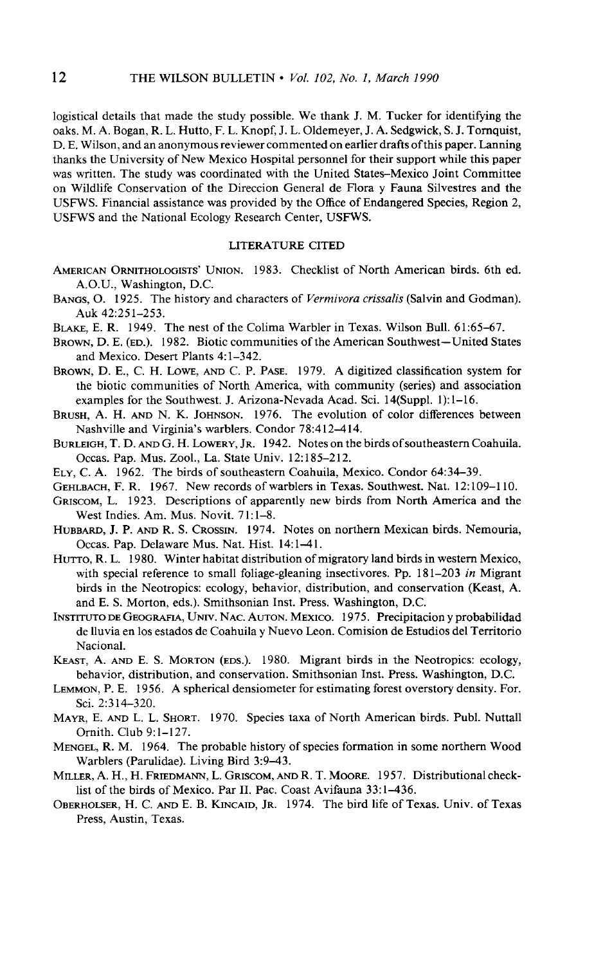**logistical details that made the study possible. We thank J. M. Tucker for identifying the oaks. M. A. Bogan, R. L. Hutto, F. L. Knopf, J. L. Oldemeyer, J. A. Sedgwick, S. J. Tomquist, D. E. Wilson, and an anonymous reviewer commented on earlier drafts ofthis paper. Lanning thanks the University of New Mexico Hospital personnel for their support while this paper was written. The study was coordinated with the United States-Mexico Joint Committee on Wildlife Conservation of the Direction General de Flora y Fauna Silvestres and the USFWS. Financial assistance was provided by the Office of Endangered Species, Region 2, USFWS and the National Ecology Research Center, USFWS.** 

#### **LITERATURE CITED**

- AMERICAN ORNITHOLOGISTS' UNION. 1983. Checklist of North American birds. 6th ed. **A.O.U., Washington, DC.**
- **BANGS, 0. 1925. The history and characters of Vermivora crissalis (Salvin and Godman). Auk 42125 l-253.**
- **BLAKE, E. R. 1949. The nest of the Colima Warbler in Texas. Wilson Bull. 61:65-67.**
- **BROWN, D. E. (ED.). 1982. Biotic communities of the American Southwest-United States and Mexico. Desert Plants 4:1-342.**
- **BROWN, D. E., C. H. LOWE, AND C. P. PASE. 1979. A digitized classification system for the biotic communities of North America, with community (series) and association examples for the Southwest. J. Arizona-Nevada Acad. Sci. 14(Suppl. 1): 1-16.**
- **BRUSH, A. H. AND N. K. JOHNSON. 1976. The evolution of color differences between Nashville and Virginia's warblers. Condor 78:4 12-4 14.**
- **BURLEIGH, T. D. AND G. H. LOWERY, JR. 1942. Notes on the birds of southeastern Coahuila. Occas. Pap. Mus. Zool., La. State Univ. 12: 185-212.**
- **ELY, C. A. 1962. The birds of southeastern Coahuila, Mexico. Condor 64:34-39.**
- GEHLBACH, F. R. 1967. New records of warblers in Texas. Southwest. Nat. 12:109-110.
- **GRISCOM, L. 1923. Descriptions of apparently new birds from North America and the West Indies. Am. Mus. Novit. 71:1-8.**
- **HUBBARD, J. P. AND R. S. CROSSIN. 1974. Notes on northern Mexican birds. Nemouria, Occas. Pap. Delaware Mus. Nat. Hist. 14: 1-41.**
- **HUTTO, R. L. 1980. Winter habitat distribution of migratory land birds in western Mexico, with special reference to small foliage-gleaning insectivores. Pp. 181-203 in Migrant birds in the Neotropics: ecology, behavior, distribution, and conservation (Keast, A. and E. S. Morton, eds.). Smithsonian Inst. Press. Washington, D.C.**
- INSTITUTO DE GEOGRAFIA, UNIV. NAC. AUTON. MEXICO. 1975. Precipitacion y probabilidad **de lluvia en 10s estados de Coahuila y Nuevo Leon. Comision de Estudios de1 Territorio**  Nacional.
- **KEAST, A. AND E. S. MORTON (EDS.). 1980. Migrant birds in the Neotropics: ecology, behavior, distribution, and conservation. Smithsonian Inst. Press. Washington, D.C.**
- **LEMMON, P. E. 1956. A spherical densiometer for estimating forest overstory density. For. Sci. 2:3 14-320.**
- **MAYR, E. AND L. L. SHORT. 1970. Species taxa of North American birds. Publ. Nuttall Ornith. Club 9:1-127.**
- **MENGEL, R. M. 1964. The probable history of species formation in some northern Wood Warblers (Parulidae). Living Bird 3:9-43.**
- MILLER, A. H., H. FRIEDMANN, L. GRISCOM, AND R. T. MOORE. 1957. Distributional check**list of the birds of Mexico. Par II. Pac. Coast Avifauna 33: l-436.**
- OBERHOLSER, H. C. AND E. B. KINCAID, JR. 1974. The bird life of Texas. Univ. of Texas **Press, Austin, Texas.**